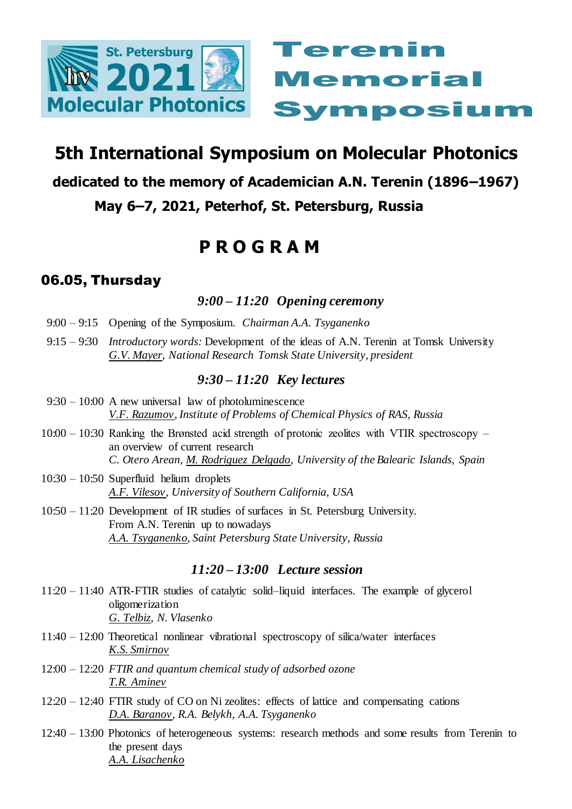



# **5th International Symposium on Molecular Photonics**

## **dedicated to the memory of Academician A.N. Terenin (1896–1967)**

# **May 6–7, 2021, Peterhof, St. Petersburg, Russia**

# **P R O G R A M**

# 06.05, Thursday

## *9:00 – 11:20 Opening ceremony*

- 9:00 9:15 Opening of the Symposium. *Chairman A.A. Tsyganenko*
- 9:15 9:30 *Introductory words:* Development of the ideas of A.N. Terenin at Tomsk University *G.V. Mayer, National Research Tomsk State University, president*

## *9:30 – 11:20 Key lectures*

- 9:30 10:00 A new universal law of photoluminescence *V.F. Razumov, Institute of Problems of Chemical Physics of RAS, Russia*
- 10:00 10:30 Ranking the Brønsted acid strength of protonic zeolites with VTIR spectroscopy an overview of current research *C. Otero Arean, M. Rodriguez Delgado, University of the Balearic Islands, Spain*
- 10:30 10:50 Superfluid helium droplets *A.F. Vilesov, University of Southern California, USA*
- 10:50 11:20 Development of IR studies of surfaces in St. Petersburg University. From A.N. Terenin up to nowadays *A.A. Tsyganenko, Saint Petersburg State University, Russia*

## *11:20 – 13:00 Lecture session*

- 11:20 11:40 ATR-FTIR studies of catalytic solid–liquid interfaces. The example of glycerol oligomerization *G. Telbiz, N. Vlasenko*
- 11:40 12:00 Theoretical nonlinear vibrational spectroscopy of silica/water interfaces *K.S. Smirnov*
- 12:00 12:20 *FTIR and quantum chemical study of adsorbed ozone T.R. Aminev*
- 12:20 12:40 FTIR study of CO on Ni zeolites: effects of lattice and compensating cations *D.A. Baranov, R.A. Belykh, A.A. Tsyganenko*
- 12:40 13:00 Photonics of heterogeneous systems: research methods and some results from Terenin to the present days *A.A. Lisachenko*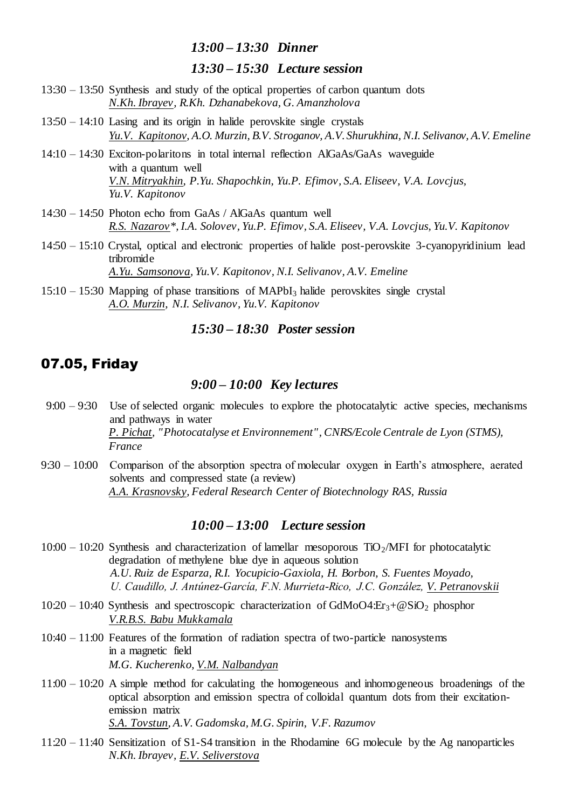#### *13:00 – 13:30 Dinner*

#### *13:30 – 15:30 Lecture session*

- 13:30 13:50 Synthesis and study of the optical properties of carbon quantum dots *N.Kh. Ibrayev, R.Kh. Dzhanabekova, G. Amanzholova*
- 13:50 14:10 Lasing and its origin in halide perovskite single crystals *Yu.V. Kapitonov, A.O. Murzin, B.V. Stroganov, A.V. Shurukhina, N.I. Selivanov, A.V. Emeline*
- 14:10 14:30 Exciton-polaritons in total internal reflection AlGaAs/GaAs waveguide with a quantum well *V.N. Mitryakhin, P.Yu. Shapochkin, Yu.P. Efimov, S.A. Eliseev, V.A. Lovcjus, Yu.V. Kapitonov*
- 14:30 14:50 Photon echo from GaAs / AlGaAs quantum well *R.S. Nazarov\*, I.A. Solovev, Yu.P. Efimov, S.A. Eliseev, V.A. Lovcjus, Yu.V. Kapitonov*
- 14:50 15:10 Crystal, optical and electronic properties of halide post-perovskite 3-cyanopyridinium lead tribromide *A.Yu. Samsonova, Yu.V. Kapitonov, N.I. Selivanov, A.V. Emeline*
- $15:10 15:30$  Mapping of phase transitions of MAPbI<sub>3</sub> halide perovskites single crystal *A.O. Murzin, N.I. Selivanov, Yu.V. Kapitonov*

### *15:30 – 18:30 Poster session*

### 07.05, Friday

#### *9:00 – 10:00 Key lectures*

- 9:00 9:30 Use of selected organic molecules to explore the photocatalytic active species, mechanisms and pathways in water *P. Pichat, "Photocatalyse et Environnement", CNRS/Ecole Centrale de Lyon (STMS), France*
- 9:30 10:00 Comparison of the absorption spectra of molecular oxygen in Earth's atmosphere, aerated solvents and compressed state (a review) *A.A. Krasnovsky, Federal Research Center of Biotechnology RAS, Russia*

## *10:00 – 13:00 Lecture session*

- $10:00 10:20$  Synthesis and characterization of lamellar mesoporous TiO<sub>2</sub>/MFI for photocatalytic degradation of methylene blue dye in aqueous solution *A.U. Ruiz de Esparza, R.I. Yocupicio-Gaxiola, H. Borbon, S. Fuentes Moyado, U. Caudillo, J. Antúnez-García, F.N. Murrieta-Rico, J.C. González, V. Petranovskii*
- $10:20 10:40$  Synthesis and spectroscopic characterization of GdMoO4:Er<sub>3</sub>+@SiO<sub>2</sub> phosphor *V.R.B.S. Babu Mukkamala*
- 10:40 11:00 Features of the formation of radiation spectra of two-particle nanosystems in a magnetic field *M.G. Kucherenko, V.M. Nalbandyan*
- 11:00 10:20 A simple method for calculating the homogeneous and inhomogeneous broadenings of the optical absorption and emission spectra of colloidal quantum dots from their excitationemission matrix *S.A. Tovstun, A.V. Gadomska, M.G. Spirin, V.F. Razumov*
- 11:20 11:40 Sensitization of S1-S4 transition in the Rhodamine 6G molecule by the Ag nanoparticles *N.Kh. Ibrayev, E.V. Seliverstova*